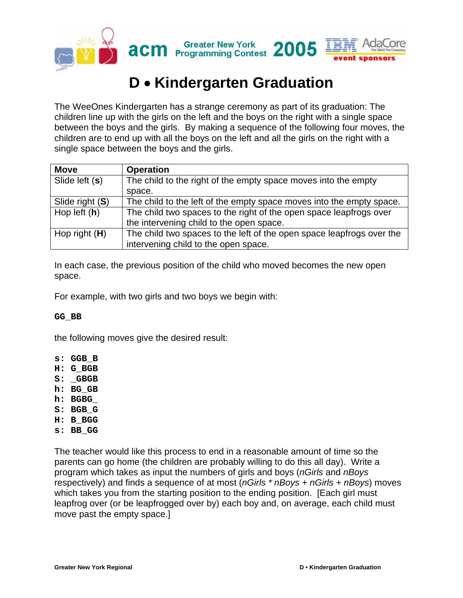

# **D** • **Kindergarten Graduation**

The WeeOnes Kindergarten has a strange ceremony as part of its graduation: The children line up with the girls on the left and the boys on the right with a single space between the boys and the girls. By making a sequence of the following four moves, the children are to end up with all the boys on the left and all the girls on the right with a single space between the boys and the girls.

| <b>Move</b>     | <b>Operation</b>                                                      |
|-----------------|-----------------------------------------------------------------------|
| Slide left (s)  | The child to the right of the empty space moves into the empty        |
|                 | space.                                                                |
| Slide right (S) | The child to the left of the empty space moves into the empty space.  |
| Hop left $(h)$  | The child two spaces to the right of the open space leapfrogs over    |
|                 | the intervening child to the open space.                              |
| Hop right $(H)$ | The child two spaces to the left of the open space leapfrogs over the |
|                 | intervening child to the open space.                                  |

In each case, the previous position of the child who moved becomes the new open space.

For example, with two girls and two boys we begin with:

#### **GG\_BB**

the following moves give the desired result:

- **s: GGB\_B**
- **H: G\_BGB**
- **S: \_GBGB**
- **h: BG\_GB**
- **h: BGBG\_**
- **S: BGB\_G**
- **H: B\_BGG**
- **s: BB\_GG**

The teacher would like this process to end in a reasonable amount of time so the parents can go home (the children are probably willing to do this all day). Write a program which takes as input the numbers of girls and boys (*nGirls* and *nBoys* respectively) and finds a sequence of at most (*nGirls \* nBoys + nGirls + nBoys*) moves which takes you from the starting position to the ending position. [Each girl must] leapfrog over (or be leapfrogged over by) each boy and, on average, each child must move past the empty space.]